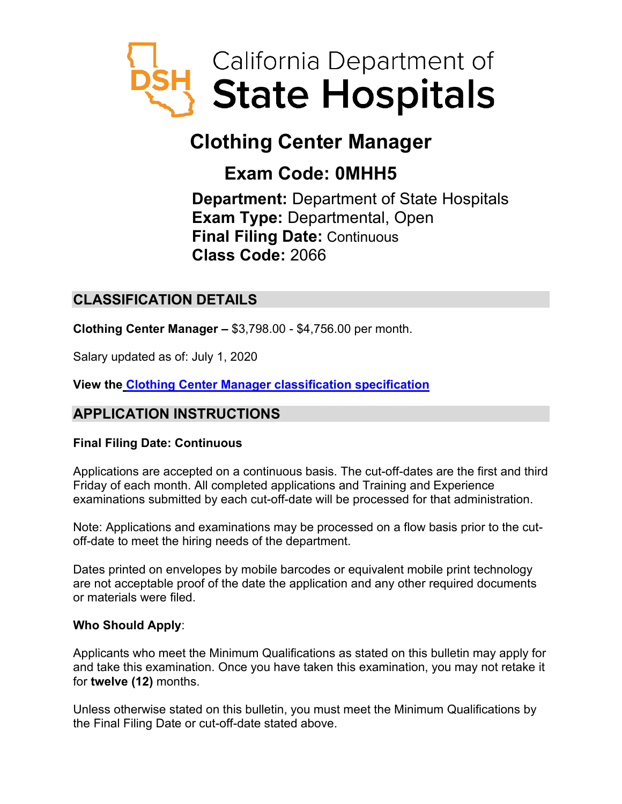

# **Clothing Center Manager**

## **Exam Code: 0MHH5**

**Department:** Department of State Hospitals **Exam Type:** Departmental, Open **Final Filing Date:** Continuous **Class Code:** 2066

## **CLASSIFICATION DETAILS**

**Clothing Center Manager –** \$3,798.00 - \$4,756.00 per month.

Salary updated as of: July 1, 2020

**View the [Clothing Center Manager classification specification](https://www.calhr.ca.gov/state-hr-professionals/pages/2066.aspx)**

## **APPLICATION INSTRUCTIONS**

#### **Final Filing Date: Continuous**

Applications are accepted on a continuous basis. The cut-off-dates are the first and third Friday of each month. All completed applications and Training and Experience examinations submitted by each cut-off-date will be processed for that administration.

Note: Applications and examinations may be processed on a flow basis prior to the cutoff-date to meet the hiring needs of the department.

Dates printed on envelopes by mobile barcodes or equivalent mobile print technology are not acceptable proof of the date the application and any other required documents or materials were filed.

#### **Who Should Apply**:

Applicants who meet the Minimum Qualifications as stated on this bulletin may apply for and take this examination. Once you have taken this examination, you may not retake it for **twelve (12)** months.

Unless otherwise stated on this bulletin, you must meet the Minimum Qualifications by the Final Filing Date or cut-off-date stated above.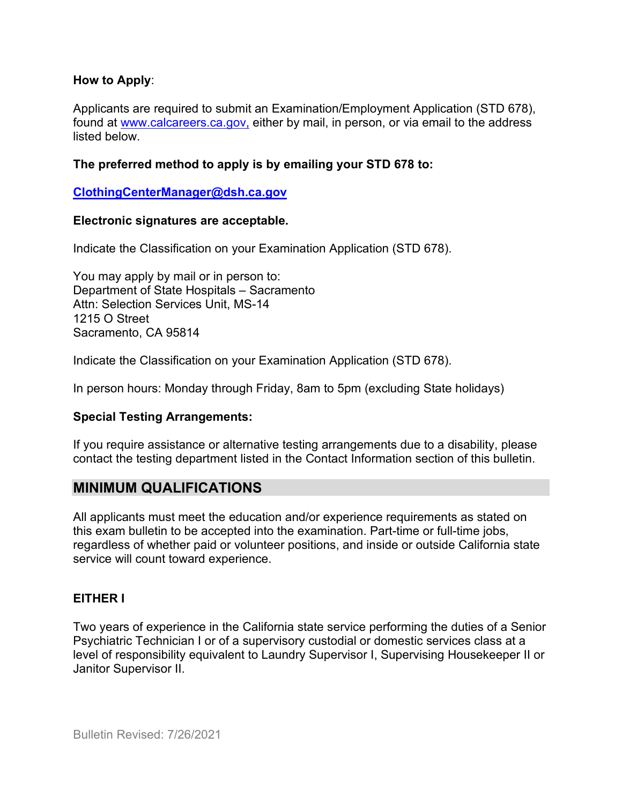#### **How to Apply**:

Applicants are required to submit an Examination/Employment Application (STD 678), found at [www.calcareers.ca.gov,](http://www.calcareers.ca.gov/) either by mail, in person, or via email to the address listed below.

#### **The preferred method to apply is by emailing your STD 678 to:**

#### **[ClothingCenterManager@dsh.ca.gov](mailto:ClothingCenterManager@dsh.ca.gov)**

#### **Electronic signatures are acceptable.**

Indicate the Classification on your Examination Application (STD 678).

You may apply by mail or in person to: Department of State Hospitals – Sacramento Attn: Selection Services Unit, MS-14 1215 O Street Sacramento, CA 95814

Indicate the Classification on your Examination Application (STD 678).

In person hours: Monday through Friday, 8am to 5pm (excluding State holidays)

#### **Special Testing Arrangements:**

If you require assistance or alternative testing arrangements due to a disability, please contact the testing department listed in the Contact Information section of this bulletin.

#### **MINIMUM QUALIFICATIONS**

All applicants must meet the education and/or experience requirements as stated on this exam bulletin to be accepted into the examination. Part-time or full-time jobs, regardless of whether paid or volunteer positions, and inside or outside California state service will count toward experience.

#### **EITHER I**

Two years of experience in the California state service performing the duties of a Senior Psychiatric Technician I or of a supervisory custodial or domestic services class at a level of responsibility equivalent to Laundry Supervisor I, Supervising Housekeeper II or Janitor Supervisor II.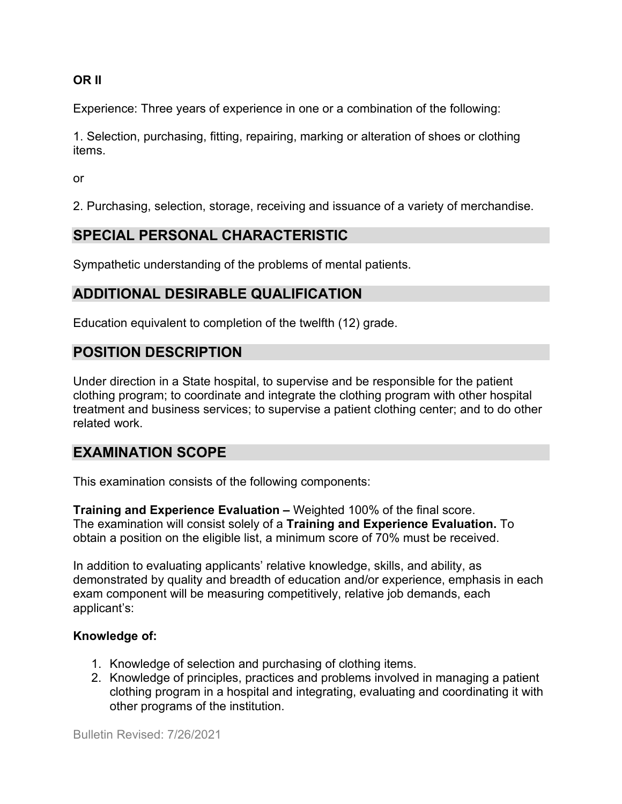**OR II**

Experience: Three years of experience in one or a combination of the following:

1. Selection, purchasing, fitting, repairing, marking or alteration of shoes or clothing items.

or

2. Purchasing, selection, storage, receiving and issuance of a variety of merchandise.

## **SPECIAL PERSONAL CHARACTERISTIC**

Sympathetic understanding of the problems of mental patients.

## **ADDITIONAL DESIRABLE QUALIFICATION**

Education equivalent to completion of the twelfth (12) grade.

## **POSITION DESCRIPTION**

Under direction in a State hospital, to supervise and be responsible for the patient clothing program; to coordinate and integrate the clothing program with other hospital treatment and business services; to supervise a patient clothing center; and to do other related work.

## **EXAMINATION SCOPE**

This examination consists of the following components:

**Training and Experience Evaluation –** Weighted 100% of the final score. The examination will consist solely of a **Training and Experience Evaluation.** To obtain a position on the eligible list, a minimum score of 70% must be received.

In addition to evaluating applicants' relative knowledge, skills, and ability, as demonstrated by quality and breadth of education and/or experience, emphasis in each exam component will be measuring competitively, relative job demands, each applicant's:

#### **Knowledge of:**

- 1. Knowledge of selection and purchasing of clothing items.
- 2. Knowledge of principles, practices and problems involved in managing a patient clothing program in a hospital and integrating, evaluating and coordinating it with other programs of the institution.

Bulletin Revised: 7/26/2021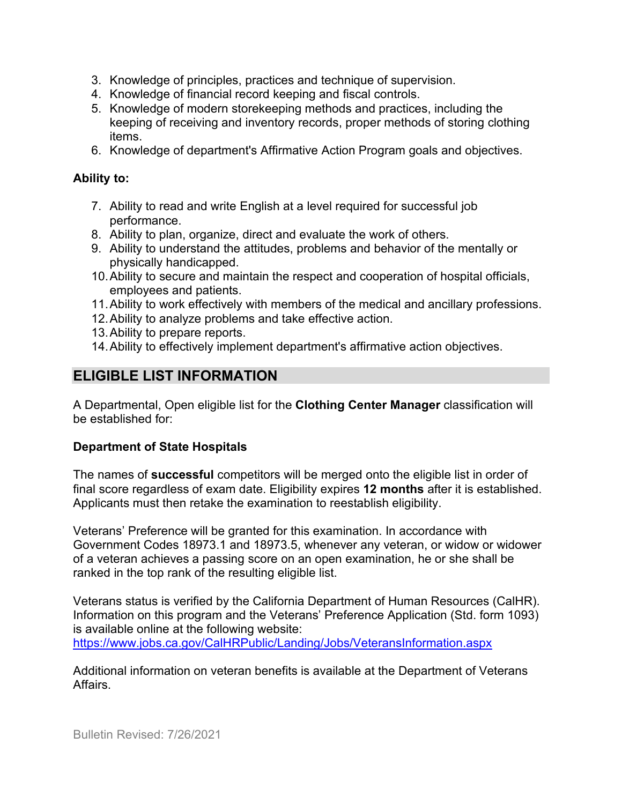- 3. Knowledge of principles, practices and technique of supervision.
- 4. Knowledge of financial record keeping and fiscal controls.
- 5. Knowledge of modern storekeeping methods and practices, including the keeping of receiving and inventory records, proper methods of storing clothing items.
- 6. Knowledge of department's Affirmative Action Program goals and objectives.

#### **Ability to:**

- 7. Ability to read and write English at a level required for successful job performance.
- 8. Ability to plan, organize, direct and evaluate the work of others.
- 9. Ability to understand the attitudes, problems and behavior of the mentally or physically handicapped.
- 10.Ability to secure and maintain the respect and cooperation of hospital officials, employees and patients.
- 11.Ability to work effectively with members of the medical and ancillary professions.
- 12.Ability to analyze problems and take effective action.
- 13.Ability to prepare reports.
- 14.Ability to effectively implement department's affirmative action objectives.

## **ELIGIBLE LIST INFORMATION**

A Departmental, Open eligible list for the **Clothing Center Manager** classification will be established for:

#### **Department of State Hospitals**

The names of **successful** competitors will be merged onto the eligible list in order of final score regardless of exam date. Eligibility expires **12 months** after it is established. Applicants must then retake the examination to reestablish eligibility.

Veterans' Preference will be granted for this examination. In accordance with Government Codes 18973.1 and 18973.5, whenever any veteran, or widow or widower of a veteran achieves a passing score on an open examination, he or she shall be ranked in the top rank of the resulting eligible list.

Veterans status is verified by the California Department of Human Resources (CalHR). Information on this program and the Veterans' Preference Application (Std. form 1093) is available online at the following website:

<https://www.jobs.ca.gov/CalHRPublic/Landing/Jobs/VeteransInformation.aspx>

Additional information on veteran benefits is available at the Department of Veterans Affairs.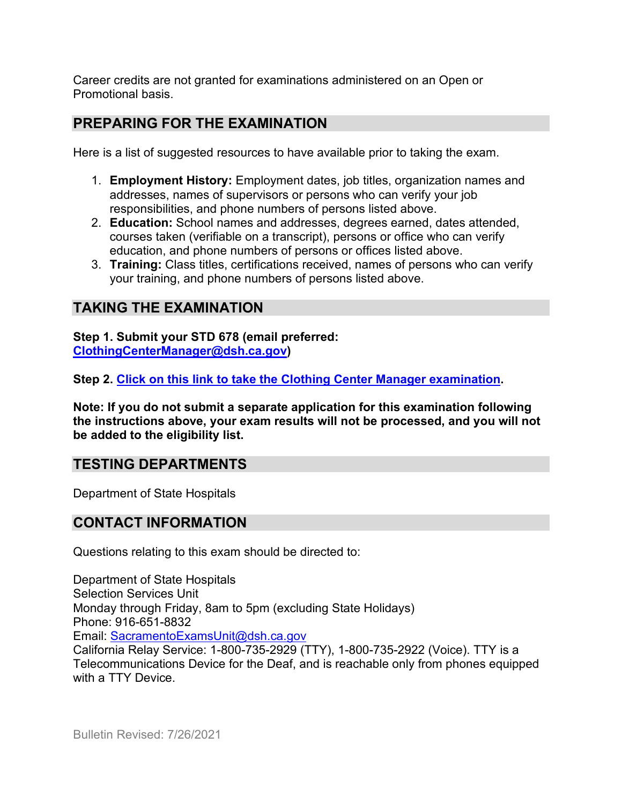Career credits are not granted for examinations administered on an Open or Promotional basis.

### **PREPARING FOR THE EXAMINATION**

Here is a list of suggested resources to have available prior to taking the exam.

- 1. **Employment History:** Employment dates, job titles, organization names and addresses, names of supervisors or persons who can verify your job responsibilities, and phone numbers of persons listed above.
- 2. **Education:** School names and addresses, degrees earned, dates attended, courses taken (verifiable on a transcript), persons or office who can verify education, and phone numbers of persons or offices listed above.
- 3. **Training:** Class titles, certifications received, names of persons who can verify your training, and phone numbers of persons listed above.

## **TAKING THE EXAMINATION**

**Step 1. Submit your STD 678 (email preferred: [ClothingCenterManager@dsh.ca.gov\)](mailto:ClothingCenterManager@dsh.ca.gov)**

**Step 2. [Click on this link to take the Clothing Center Manager](https://www.surveymonkey.com/r/3T7XQT2) examination.**

**Note: If you do not submit a separate application for this examination following the instructions above, your exam results will not be processed, and you will not be added to the eligibility list.**

## **TESTING DEPARTMENTS**

Department of State Hospitals

#### **CONTACT INFORMATION**

Questions relating to this exam should be directed to:

Department of State Hospitals Selection Services Unit Monday through Friday, 8am to 5pm (excluding State Holidays) Phone: 916-651-8832 Email: [SacramentoExamsUnit@dsh.ca.gov](mailto:SacramentoExamsUnit@dsh.ca.gov) California Relay Service: 1-800-735-2929 (TTY), 1-800-735-2922 (Voice). TTY is a Telecommunications Device for the Deaf, and is reachable only from phones equipped with a TTY Device.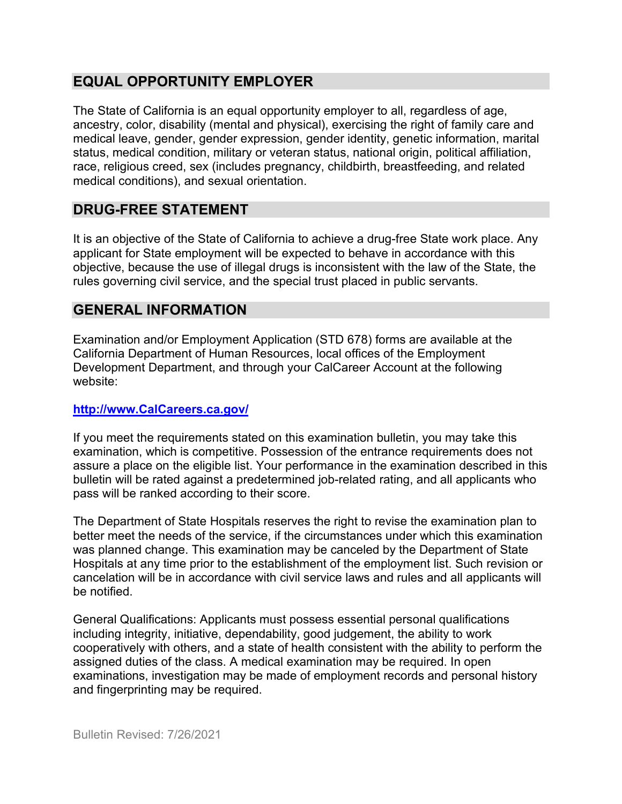## **EQUAL OPPORTUNITY EMPLOYER**

The State of California is an equal opportunity employer to all, regardless of age, ancestry, color, disability (mental and physical), exercising the right of family care and medical leave, gender, gender expression, gender identity, genetic information, marital status, medical condition, military or veteran status, national origin, political affiliation, race, religious creed, sex (includes pregnancy, childbirth, breastfeeding, and related medical conditions), and sexual orientation.

## **DRUG-FREE STATEMENT**

It is an objective of the State of California to achieve a drug-free State work place. Any applicant for State employment will be expected to behave in accordance with this objective, because the use of illegal drugs is inconsistent with the law of the State, the rules governing civil service, and the special trust placed in public servants.

## **GENERAL INFORMATION**

Examination and/or Employment Application (STD 678) forms are available at the California Department of Human Resources, local offices of the Employment Development Department, and through your CalCareer Account at the following website:

#### **http://www.CalCareers.ca.gov/**

If you meet the requirements stated on this examination bulletin, you may take this examination, which is competitive. Possession of the entrance requirements does not assure a place on the eligible list. Your performance in the examination described in this bulletin will be rated against a predetermined job-related rating, and all applicants who pass will be ranked according to their score.

The Department of State Hospitals reserves the right to revise the examination plan to better meet the needs of the service, if the circumstances under which this examination was planned change. This examination may be canceled by the Department of State Hospitals at any time prior to the establishment of the employment list. Such revision or cancelation will be in accordance with civil service laws and rules and all applicants will be notified.

General Qualifications: Applicants must possess essential personal qualifications including integrity, initiative, dependability, good judgement, the ability to work cooperatively with others, and a state of health consistent with the ability to perform the assigned duties of the class. A medical examination may be required. In open examinations, investigation may be made of employment records and personal history and fingerprinting may be required.